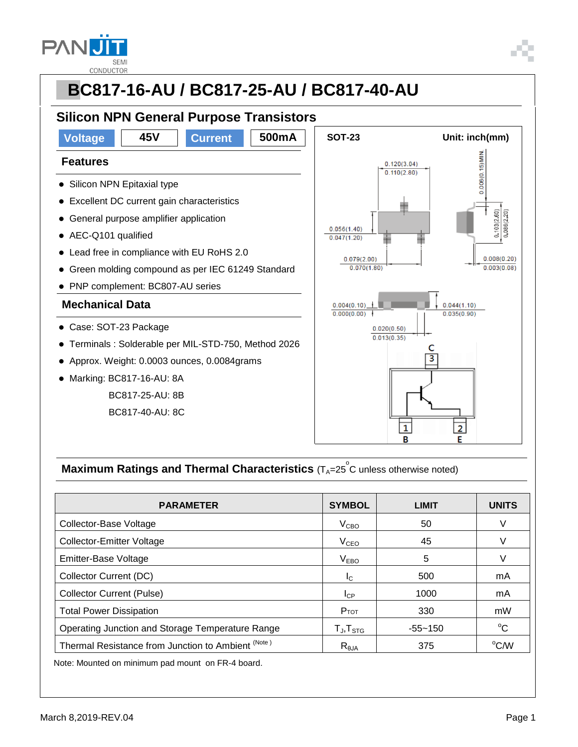

#### **PBC817-16-AU / BC817-25-AU / BC817-40-AU Silicon NPN General Purpose Transistors Voltage 45V Current 500mA** | SOT-23 Unit: inch(mm)  $0.006(0.15)$  MIN. **Features**  $0.120(3.04)$  $0.110(2.80)$ • Silicon NPN Epitaxial type Excellent DC current gain characteristics  $103(2.60)$ 0,086(2,20) General purpose amplifier application  $0.056(1.40)$ ● AEC-Q101 qualified  $0.047(1.20)$  Lead free in compliance with EU RoHS 2.0  $0.079(2.00)$  $0.008(0.20)$  $0.003(0.08)$  Green molding compound as per IEC 61249 Standard  $0.070(1.80)$  PNP complement: BC807-AU series **Mechanical Data**  $0.004(0.10)$  $0.044(1.10)$  $0.000(0.00)$  $0.035(0.90)$  Case: SOT-23 Package  $0.020(0.50)$  $0.013(0.35)$  Terminals : Solderable per MIL-STD-750, Method 2026 C  $\overline{\overline{3}}$  Approx. Weight: 0.0003 ounces, 0.0084grams Marking: BC817-16-AU: 8A BC817-25-AU: 8B BC817-40-AU: 8C  $\overline{\mathbf{1}}$  $\overline{2}$ B F

### **Maximum Ratings and Thermal Characteristics** (T<sub>A</sub>=25<sup>°</sup>C unless otherwise noted)

| <b>PARAMETER</b>                                   | <b>SYMBOL</b>       | <b>LIMIT</b> | <b>UNITS</b>       |
|----------------------------------------------------|---------------------|--------------|--------------------|
| Collector-Base Voltage                             | V <sub>CBO</sub>    | 50           | v                  |
| <b>Collector-Emitter Voltage</b>                   | $V_{CEO}$           | 45           | V                  |
| Emitter-Base Voltage                               | V <sub>EBO</sub>    | 5            |                    |
| Collector Current (DC)                             | I <sub>C</sub>      | 500          | mA                 |
| <b>Collector Current (Pulse)</b>                   | $I_{CP}$            | 1000         | mA                 |
| <b>Total Power Dissipation</b>                     | $P_{TOT}$           | 330          | mW                 |
| Operating Junction and Storage Temperature Range   | $T_{J}$ , $T_{STG}$ | $-55 - 150$  | $^{\circ}C$        |
| Thermal Resistance from Junction to Ambient (Note) | $R_{\theta$ JA      | 375          | $\rm{^{\circ}$ C/W |

Note: Mounted on minimum pad mount on FR-4 board.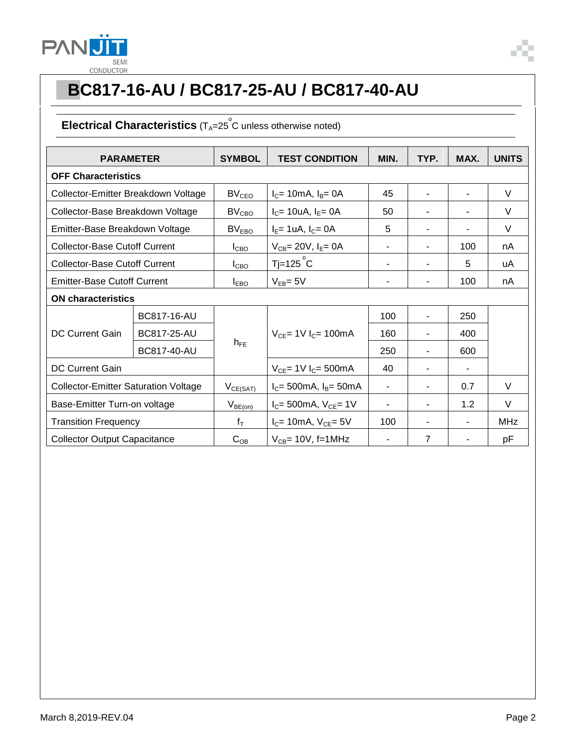

### Electrical Characteristics (T<sub>A</sub>=25<sup>°</sup>C unless otherwise noted)

| <b>PARAMETER</b>                            |                    | <b>SYMBOL</b>     | <b>TEST CONDITION</b>                        | MIN.                     | TYP.           | MAX.           | <b>UNITS</b> |  |
|---------------------------------------------|--------------------|-------------------|----------------------------------------------|--------------------------|----------------|----------------|--------------|--|
| <b>OFF Characteristics</b>                  |                    |                   |                                              |                          |                |                |              |  |
| Collector-Emitter Breakdown Voltage         |                    | BV <sub>CEO</sub> | $I_c$ = 10mA, $I_B$ = 0A                     | 45                       | $\blacksquare$ | $\blacksquare$ | V            |  |
| Collector-Base Breakdown Voltage            |                    | BV <sub>CBO</sub> | $I_C = 10uA, I_E = 0A$                       | 50                       | $\blacksquare$ | $\blacksquare$ | V            |  |
| Emitter-Base Breakdown Voltage              |                    | BV <sub>EBO</sub> | $I_E = 1 uA, I_C = 0A$                       | 5                        | -              |                | V            |  |
| <b>Collector-Base Cutoff Current</b>        |                    | $I_{CBO}$         | $V_{CB} = 20V$ , $I_E = 0A$                  |                          |                | 100            | nA           |  |
| <b>Collector-Base Cutoff Current</b>        |                    | I <sub>CBO</sub>  | $T$ j=125 $^{\circ}$ C                       | $\blacksquare$           | ۰              | 5              | uA           |  |
| <b>Emitter-Base Cutoff Current</b>          |                    | $I_{EBO}$         | $V_{EB} = 5V$                                | $\blacksquare$           | ۰              | 100            | nA           |  |
| <b>ON characteristics</b>                   |                    |                   |                                              |                          |                |                |              |  |
| <b>DC Current Gain</b>                      | BC817-16-AU        | $h_{FE}$          | $V_{CE}$ = 1V $I_C$ = 100mA                  | 100                      | $\blacksquare$ | 250            |              |  |
|                                             | <b>BC817-25-AU</b> |                   |                                              | 160                      | ۰              | 400            |              |  |
|                                             | BC817-40-AU        |                   |                                              | 250                      | ٠              | 600            |              |  |
| DC Current Gain                             |                    |                   | $V_{CE}$ = 1V $I_C$ = 500mA                  | 40                       |                |                |              |  |
| <b>Collector-Emitter Saturation Voltage</b> |                    | $V_{CE(SAT)}$     | $I_C = 500 \text{mA}$ , $I_B = 50 \text{mA}$ | $\overline{\phantom{a}}$ | ۰              | 0.7            | V            |  |
| Base-Emitter Turn-on voltage                |                    | $V_{BE(on)}$      | $I_C = 500mA$ , $V_{CE} = 1V$                | $\blacksquare$           | $\blacksquare$ | 1.2            | $\vee$       |  |
| <b>Transition Frequency</b>                 |                    | $f_T$             | $I_C$ = 10mA, $V_{CE}$ = 5V                  | 100                      | -              |                | <b>MHz</b>   |  |
| <b>Collector Output Capacitance</b>         |                    | $C_{OB}$          | $V_{CB}$ = 10V, f=1MHz                       |                          | $\overline{7}$ |                | рF           |  |

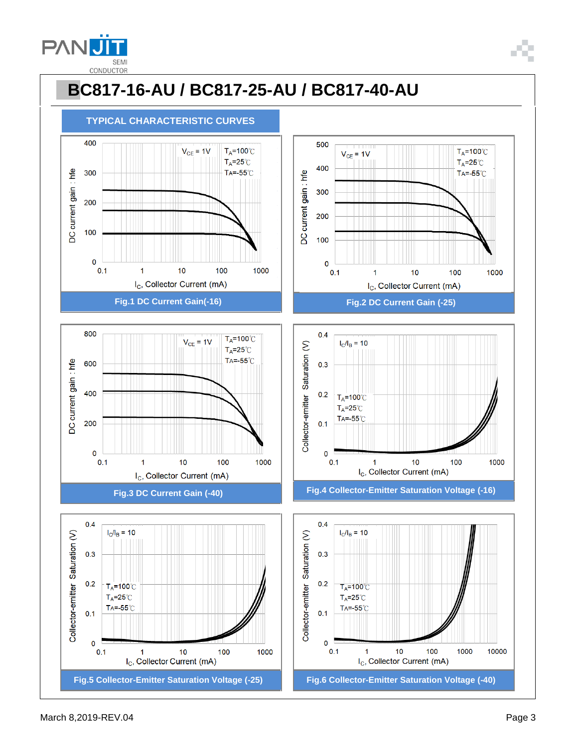

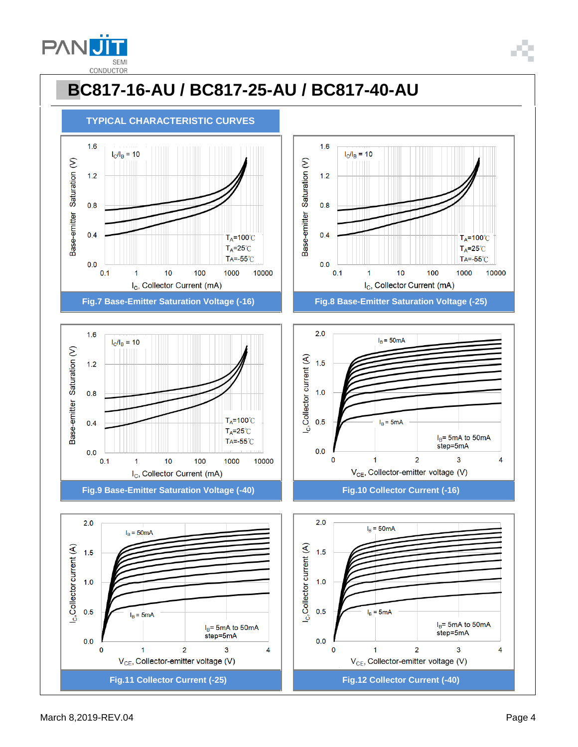











 $2.0$  $I_B = 50mA$ I<sub>C</sub>, Collector current (A)  $1.5$  $1.0$  $0.5$  $I_B = 5mA$ I<sub>B</sub>= 5mA to 50mA step=5mA  $0.0$  $\overline{2}$  $\overline{\mathbf{3}}$  $\mathbf 0$  $\mathbf{1}$  $\overline{4}$ V<sub>CE</sub>, Collector-emitter voltage (V)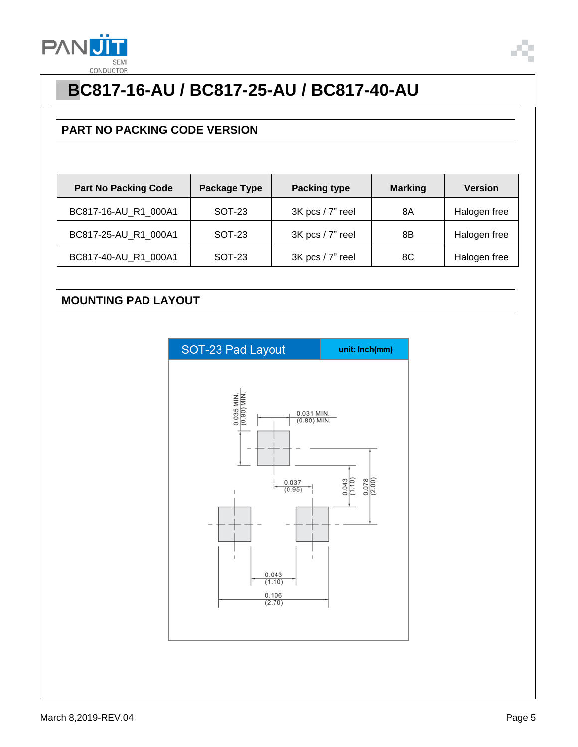

#### **PART NO PACKING CODE VERSION**

| <b>Part No Packing Code</b> | Package Type  | <b>Packing type</b> | <b>Marking</b> | <b>Version</b> |
|-----------------------------|---------------|---------------------|----------------|----------------|
| BC817-16-AU_R1_000A1        | <b>SOT-23</b> | 3K pcs / 7" reel    | 8Α             | Halogen free   |
| BC817-25-AU_R1_000A1        | <b>SOT-23</b> | 3K pcs / 7" reel    | 8Β             | Halogen free   |
| BC817-40-AU_R1_000A1        | SOT-23        | 3K pcs / 7" reel    | 8C             | Halogen free   |

#### **MOUNTING PAD LAYOUT**